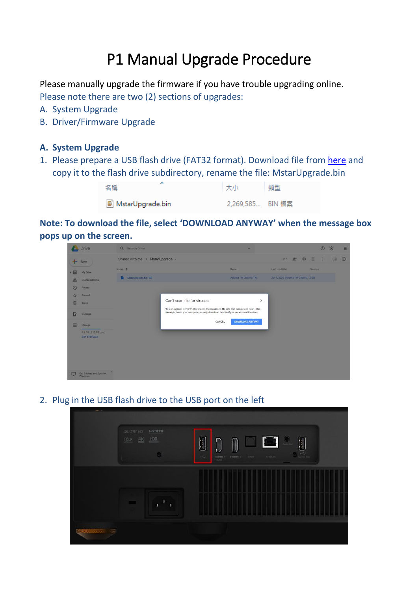## P1 Manual Upgrade Procedure

Please manually upgrade the firmware if you have trouble upgrading online. Please note there are two (2) sections of upgrades:

- A. System Upgrade
- B. Driver/Firmware Upgrade

## **A. System Upgrade**

1. Please prepare a USB flash drive (FAT32 format). Download file from [here](https://drive.google.com/drive/u/2/folders/1Qd1GHImKb_qbiqHcqLD3pMQ3thDANPvv) and copy it to the flash drive subdirectory, rename the file: MstarUpgrade.bin

| 名稱               | 大小               | 類型 |
|------------------|------------------|----|
| MstarUpgrade.bin | 2,269,585 BIN 檔案 |    |

**Note: To download the file, select 'DOWNLOAD ANYWAY' when the message box pops up on the screen.**

|                                          | Drive                                      | Q Search Drive                                                                                                          |                        |                                   | $\circledcirc$ | සි        |         |
|------------------------------------------|--------------------------------------------|-------------------------------------------------------------------------------------------------------------------------|------------------------|-----------------------------------|----------------|-----------|---------|
| --<br><b>New</b>                         |                                            | Shared with me > MstarUpgrade -                                                                                         |                        | $B^+$<br>$\circledcirc$<br>画<br>G | ÷              | <b>HH</b> | $\odot$ |
| $\bullet$ $\boxed{\triangle}$            | My Drive                                   | Name 1                                                                                                                  | Owner                  | Last modified                     | File size      |           |         |
| 昌.                                       | Shared with me                             | MstarUpgrade.bin 4%                                                                                                     | Optoma TW Optoma TW    | Jan 9, 2020 Optoma TW Optoma 2 GB |                |           |         |
| $\circledcirc$                           | Recent                                     |                                                                                                                         |                        |                                   |                |           |         |
| ☆                                        | Starred                                    |                                                                                                                         |                        |                                   |                |           |         |
| 面                                        | Trash                                      | Can't scan file for viruses<br>X<br>"MstarUpgrade.bin" (2.2GB) exceeds the maximum file size that Google can scan. This |                        |                                   |                |           |         |
| B                                        | <b>Backups</b>                             | file might harm your computer, so only download this file if you understand the risks.                                  |                        |                                   |                |           |         |
| 這                                        | Storage                                    | CANCEL                                                                                                                  | <b>DOWNLOAD ANYWAY</b> |                                   |                |           |         |
|                                          | 9.1 GB of 15 GB used<br><b>BUY STORAGE</b> |                                                                                                                         |                        |                                   |                |           |         |
|                                          |                                            |                                                                                                                         |                        |                                   |                |           |         |
|                                          |                                            |                                                                                                                         |                        |                                   |                |           |         |
|                                          |                                            |                                                                                                                         |                        |                                   |                |           |         |
|                                          | ×                                          |                                                                                                                         |                        |                                   |                |           |         |
| Get Backup and Sync for<br>C.<br>Windows |                                            |                                                                                                                         |                        |                                   |                |           |         |

2. Plug in the USB flash drive to the USB port on the left

| Ham<br>4XJURAHD<br>$0 \nu$ $4K$ $HDR$<br>$\bullet$ | $\mathbf{0}$ or $\mathbf{0}$ .<br>$\begin{bmatrix} 1 \\ 2 \end{bmatrix}$<br>$\begin{bmatrix} 1 \\ 0 \end{bmatrix}$<br>$\begin{matrix} \end{matrix}$<br>$\begin{picture}(20,20) \put(0,0){\line(1,0){10}} \put(15,0){\line(1,0){10}} \put(15,0){\line(1,0){10}} \put(15,0){\line(1,0){10}} \put(15,0){\line(1,0){10}} \put(15,0){\line(1,0){10}} \put(15,0){\line(1,0){10}} \put(15,0){\line(1,0){10}} \put(15,0){\line(1,0){10}} \put(15,0){\line(1,0){10}} \put(15,0){\line(1,0){10}} \put(15,0){\line(1$<br>$\mathbb{H}_{\mathbb{Q}_{2}^{n}}^{G_{2}}$<br><b>KIESLIN</b><br>$\frac{1}{2}$<br><b>HOME</b><br>since |
|----------------------------------------------------|--------------------------------------------------------------------------------------------------------------------------------------------------------------------------------------------------------------------------------------------------------------------------------------------------------------------------------------------------------------------------------------------------------------------------------------------------------------------------------------------------------------------------------------------------------------------------------------------------------------------|
| ı<br>I<br>П                                        |                                                                                                                                                                                                                                                                                                                                                                                                                                                                                                                                                                                                                    |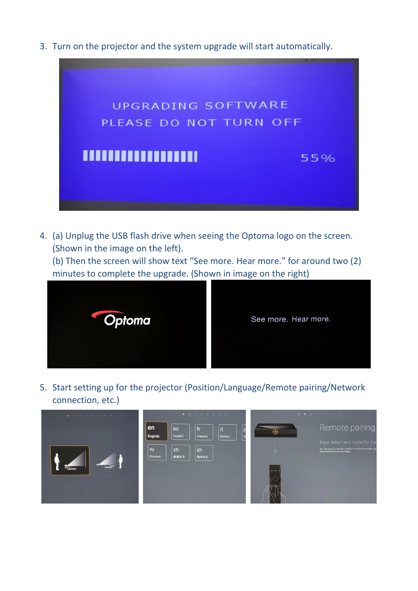3. Turn on the projector and the system upgrade will start automatically.



4. (a) Unplug the USB flash drive when seeing the Optoma logo on the screen. (Shown in the image on the left).

(b) Then the screen will show text "See more. Hear more." for around two (2) minutes to complete the upgrade. (Shown in image on the right)



5. Start setting up for the projector (Position/Language/Remote pairing/Network connection, etc.)